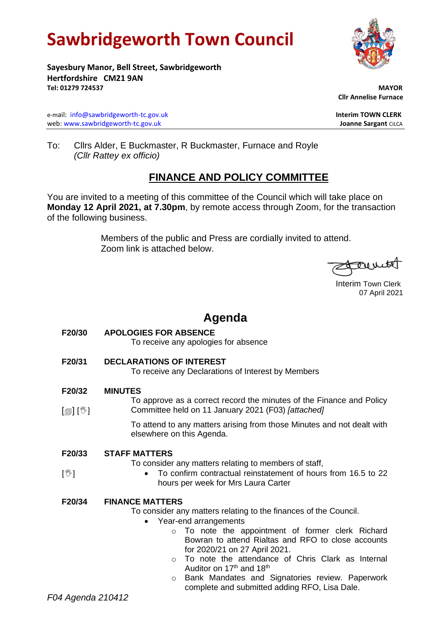# **Sawbridgeworth Town Council**



**Sayesbury Manor, Bell Street, Sawbridgeworth Hertfordshire CM21 9AN Tel: 01279 724537 MAYOR**

e-mail: [info@sawbridgeworth-tc.gov.uk](mailto:info@sawbridgeworth-tc.gov.uk) **Interim TOWN CLERK** web: www.sawbridgeworth-tc.gov.uk **Joanne Sargant** CiLCA

 **Cllr Annelise Furnace**

To: Cllrs Alder, E Buckmaster, R Buckmaster, Furnace and Royle *(Cllr Rattey ex officio)*

## **FINANCE AND POLICY COMMITTEE**

You are invited to a meeting of this committee of the Council which will take place on **Monday 12 April 2021, at 7.30pm**, by remote access through Zoom, for the transaction of the following business.

> Members of the public and Press are cordially invited to attend. Zoom link is attached below.

count

 Interim Town Clerk 07 April 2021

# **Agenda**

**F20/30 APOLOGIES FOR ABSENCE** To receive any apologies for absence

**F20/31 DECLARATIONS OF INTEREST**

To receive any Declarations of Interest by Members

#### **F20/32 MINUTES**

 $\lceil$  [1]  $\lfloor$   $\!\! \mathbb{U}\rceil$ To approve as a correct record the minutes of the Finance and Policy Committee held on 11 January 2021 (F03) *[attached]*

> To attend to any matters arising from those Minutes and not dealt with elsewhere on this Agenda.

**F20/33 STAFF MATTERS**

To consider any matters relating to members of staff,

• To confirm contractual reinstatement of hours from 16.5 to 22 hours per week for Mrs Laura Carter

### **F20/34 FINANCE MATTERS**

To consider any matters relating to the finances of the Council.

- Year-end arrangements
	- o To note the appointment of former clerk Richard Bowran to attend Rialtas and RFO to close accounts for 2020/21 on 27 April 2021.
	- o To note the attendance of Chris Clark as Internal Auditor on  $17<sup>th</sup>$  and  $18<sup>th</sup>$
	- o Bank Mandates and Signatories review. Paperwork complete and submitted adding RFO, Lisa Dale.

 $\sqrt{\mathbb{Z}}$